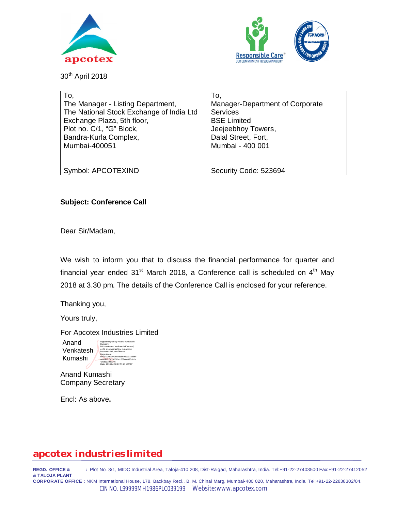



30th April 2018

| To,                                      | To,                             |
|------------------------------------------|---------------------------------|
| The Manager - Listing Department,        | Manager-Department of Corporate |
| The National Stock Exchange of India Ltd | <b>Services</b>                 |
| Exchange Plaza, 5th floor,               | <b>BSE Limited</b>              |
| Plot no. C/1, "G" Block,                 | Jeejeebhoy Towers,              |
| Bandra-Kurla Complex,                    | Dalal Street, Fort,             |
| Mumbai-400051                            | Mumbai - 400 001                |
|                                          |                                 |
|                                          |                                 |
| Symbol: APCOTEXIND                       | Security Code: 523694           |

#### **Subject: Conference Call**

Dear Sir/Madam,

We wish to inform you that to discuss the financial performance for quarter and financial year ended 31<sup>st</sup> March 2018, a Conference call is scheduled on 4<sup>th</sup> May 2018 at 3.30 pm. The details of the Conference Call is enclosed for your reference.

Thanking you,

Yours truly,

For Apcotex Industries Limited

Anand Venkatesh Kumashi

Digitally signed by Anand Venkatesh Kumashi DN: cn=Anand Venkatesh Kumashi, c=IN, st=Maharashtra, o=Apcotex Industries Ltd, ou=Finance Department, serialNumber=96088d8606ee91ad56ff aaa1fd8c5a39201241567c60830d82e 42b8ea392d946 17:57:27 +05'30

Anand Kumashi Company Secretary

Encl: As above**.** 

## **apcotex industries limited**

**REGD. OFFICE & :** Plot No. 3/1, MIDC Industrial Area, Taloja-410 208, Dist-Raigad, Maharashtra, India. Tel:+91-22-27403500 Fax:+91-22-27412052 **& TALOJA PLANT CORPORATE OFFICE :** NKM International House, 178, Backbay Recl., B. M. Chinai Marg, Mumbai-400 020, Maharashtra, India. Tel:+91-22-22838302/04.